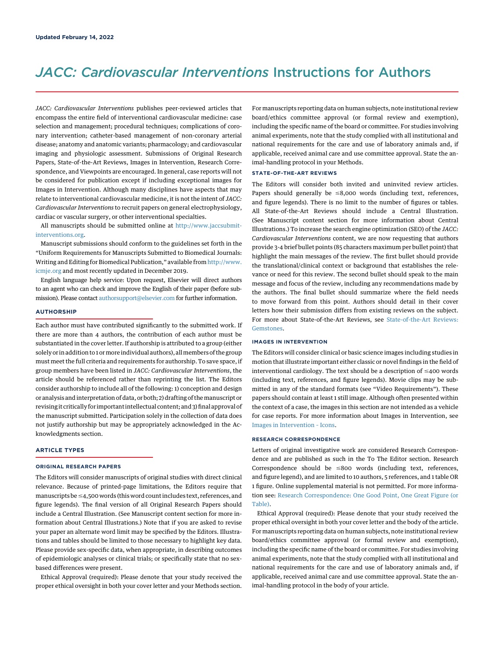# JACC: Cardiovascular Interventions Instructions for Authors

JACC: Cardiovascular Interventions publishes peer-reviewed articles that encompass the entire field of interventional cardiovascular medicine: case selection and management; procedural techniques; complications of coronary intervention; catheter-based management of non-coronary arterial disease; anatomy and anatomic variants; pharmacology; and cardiovascular imaging and physiologic assessment. Submissions of Original Research Papers, State-of-the-Art Reviews, Images in Intervention, Research Correspondence, and Viewpoints are encouraged. In general, case reports will not be considered for publication except if including exceptional images for Images in Intervention. Although many disciplines have aspects that may relate to interventional cardiovascular medicine, it is not the intent of JACC: Cardiovascular Interventions to recruit papers on general electrophysiology, cardiac or vascular surgery, or other interventional specialties.

All manuscripts should be submitted online at [http://www.jaccsubmit](http://www.jaccsubmit-interventions.org/)[interventions.org](http://www.jaccsubmit-interventions.org/).

Manuscript submissions should conform to the guidelines set forth in the "Uniform Requirements for Manuscripts Submitted to Biomedical Journals: Writing and Editing for Biomedical Publication," available from [http://www.](http://www.icmje.org/) [icmje.org](http://www.icmje.org/) and most recently updated in December 2019.

English language help service: Upon request, Elsevier will direct authors to an agent who can check and improve the English of their paper (before submission). Please contact [authorsupport@elsevier.com](mailto:authorsupport@elsevier.com) for further information.

# **AUTHORSHIP**

Each author must have contributed significantly to the submitted work. If there are more than 4 authors, the contribution of each author must be substantiated in the cover letter. If authorship is attributed to a group (either solely or in addition to 1 or more individual authors), all members of the group must meet the full criteria and requirements for authorship. To save space, if group members have been listed in JACC: Cardiovascular Interventions, the article should be referenced rather than reprinting the list. The Editors consider authorship to include all of the following: 1) conception and design or analysis and interpretation of data, or both; 2) drafting of the manuscript or revising it critically for important intellectual content; and 3) final approval of the manuscript submitted. Participation solely in the collection of data does not justify authorship but may be appropriately acknowledged in the Acknowledgments section.

## ARTICLE TYPES

# ORIGINAL RESEARCH PAPERS

The Editors will consider manuscripts of original studies with direct clinical relevance. Because of printed-page limitations, the Editors require that manuscripts be  $\leq$ 4,500 words (this word count includes text, references, and figure legends). The final version of all Original Research Papers should include a Central Illustration. (See Manuscript content section for more information about Central Illustrations.) Note that if you are asked to revise your paper an alternate word limit may be specified by the Editors. Illustrations and tables should be limited to those necessary to highlight key data. Please provide sex-specific data, when appropriate, in describing outcomes of epidemiologic analyses or clinical trials; or specifically state that no sexbased differences were present.

Ethical Approval (required): Please denote that your study received the proper ethical oversight in both your cover letter and your Methods section.

For manuscripts reporting data on human subjects, note institutional review board/ethics committee approval (or formal review and exemption), including the specific name of the board or committee. For studies involving animal experiments, note that the study complied with all institutional and national requirements for the care and use of laboratory animals and, if applicable, received animal care and use committee approval. State the animal-handling protocol in your Methods.

# STATE-OF-THE-ART REVIEWS

The Editors will consider both invited and uninvited review articles. Papers should generally be  $\leq$ 8,000 words (including text, references, and figure legends). There is no limit to the number of figures or tables. All State-of-the-Art Reviews should include a Central Illustration. (See Manuscript content section for more information about Central Illustrations.) To increase the search engine optimization (SEO) of the JACC: Cardiovascular Interventions content, we are now requesting that authors provide 3-4 brief bullet points (85 characters maximum per bullet point) that highlight the main messages of the review. The first bullet should provide the translational/clinical context or background that establishes the relevance or need for this review. The second bullet should speak to the main message and focus of the review, including any recommendations made by the authors. The final bullet should summarize where the field needs to move forward from this point. Authors should detail in their cover letters how their submission differs from existing reviews on the subject. For more about State-of-the-Art Reviews, see [State-of-the-Art Reviews:](http://interventions.onlinejacc.org/content/11/6/613) [Gemstones.](http://interventions.onlinejacc.org/content/11/6/613)

### IMAGES IN INTERVENTION

The Editors will consider clinical or basic science images including studies in motion that illustrate important either classic or novel findings in the field of interventional cardiology. The text should be a description of  $\leq$ 400 words (including text, references, and figure legends). Movie clips may be submitted in any of the standard formats (see "Video Requirements"). These papers should contain at least 1 still image. Although often presented within the context of a case, the images in this section are not intended as a vehicle for case reports. For more information about Images in Intervention, see [Images in Intervention](http://dx.doi.org/10.1016/j.jcin.2017.11.037) – Icons.

#### RESEARCH CORRESPONDENCE

Letters of original investigative work are considered Research Correspondence and are published as such in the To The Editor section. Research Correspondence should be  $\leq 800$  words (including text, references, and figure legend), and are limited to 10 authors, 5 references, and 1 table OR 1 figure. Online supplemental material is not permitted. For more information see: [Research Correspondence: One Good Point, One Great Figure \(or](http://interventions.onlinejacc.org/content/10/22/2347) [Table\)](http://interventions.onlinejacc.org/content/10/22/2347).

Ethical Approval (required): Please denote that your study received the proper ethical oversight in both your cover letter and the body of the article. For manuscripts reporting data on human subjects, note institutional review board/ethics committee approval (or formal review and exemption), including the specific name of the board or committee. For studies involving animal experiments, note that the study complied with all institutional and national requirements for the care and use of laboratory animals and, if applicable, received animal care and use committee approval. State the animal-handling protocol in the body of your article.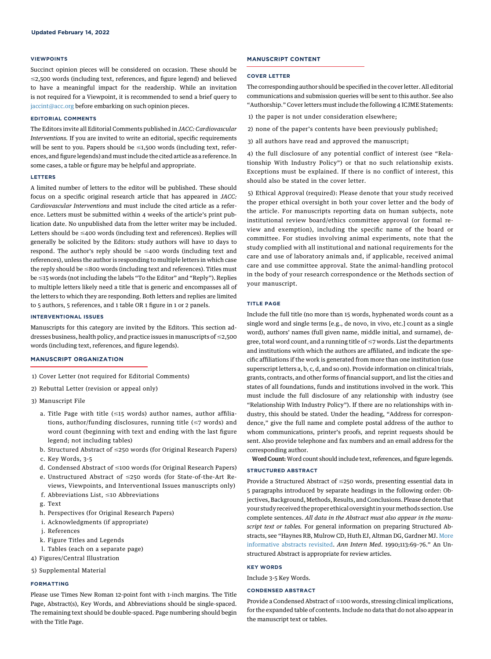#### VIEWPOINTS

Succinct opinion pieces will be considered on occasion. These should be  $\leq$ 2,500 words (including text, references, and figure legend) and believed to have a meaningful impact for the readership. While an invitation is not required for a Viewpoint, it is recommended to send a brief query to [jaccint@acc.org](mailto:jaccint@acc.org) before embarking on such opinion pieces.

# EDITORIAL COMMENTS

The Editors invite all Editorial Comments published in JACC: Cardiovascular Interventions. If you are invited to write an editorial, specific requirements will be sent to you. Papers should be  $\leq$ 1,500 words (including text, references, and figure legends) and must include the cited article as a reference. In some cases, a table or figure may be helpful and appropriate.

#### LETTERS

A limited number of letters to the editor will be published. These should focus on a specific original research article that has appeared in JACC: Cardiovascular Interventions and must include the cited article as a reference. Letters must be submitted within 4 weeks of the article's print publication date. No unpublished data from the letter writer may be included. Letters should be  $\leq$ 400 words (including text and references). Replies will generally be solicited by the Editors: study authors will have 10 days to respond. The author's reply should be  $\leq$ 400 words (including text and references), unless the author is responding to multiple letters in which case the reply should be  $\leq$ 800 words (including text and references). Titles must be <15 words (not including the labels "To the Editor" and "Reply"). Replies to multiple letters likely need a title that is generic and encompasses all of the letters to which they are responding. Both letters and replies are limited to 5 authors, 5 references, and 1 table OR 1 figure in 1 or 2 panels.

## INTERVENTIONAL ISSUES

Manuscripts for this category are invited by the Editors. This section addresses business, health policy, and practice issues in manuscripts of  $\leq$ 2,500 words (including text, references, and figure legends).

# MANUSCRIPT ORGANIZATION

- 1) Cover Letter (not required for Editorial Comments)
- 2) Rebuttal Letter (revision or appeal only)
- 3) Manuscript File
	- a. Title Page with title  $(\leq15$  words) author names, author affiliations, author/funding disclosures, running title ( $\leq$ 7 words) and word count (beginning with text and ending with the last figure legend; not including tables)
	- b. Structured Abstract of ≤250 words (for Original Research Papers)
	- c. Key Words, 3-5
	- d. Condensed Abstract of  $\leq$ 100 words (for Original Research Papers)
	- e. Unstructured Abstract of  $\leq$ 250 words (for State-of-the-Art Reviews, Viewpoints, and Interventional Issues manuscripts only)
	- f. Abbreviations List,  $\leq$ 10 Abbreviations
	- g. Text
	- h. Perspectives (for Original Research Papers)
	- i. Acknowledgments (if appropriate)
	- j. References
	- k. Figure Titles and Legends
- l. Tables (each on a separate page)
- 4) Figures/Central Illustration
- 5) Supplemental Material

# FORMATTING

Please use Times New Roman 12-point font with 1-inch margins. The Title Page, Abstract(s), Key Words, and Abbreviations should be single-spaced. The remaining text should be double-spaced. Page numbering should begin with the Title Page.

# MANUSCRIPT CONTENT

#### COVER LETTER

The corresponding author should be specified in the cover letter. All editorial communications and submission queries will be sent to this author. See also "Authorship." Cover letters must include the following 4 ICJME Statements:

- 1) the paper is not under consideration elsewhere;
- 2) none of the paper's contents have been previously published;
- 3) all authors have read and approved the manuscript;

4) the full disclosure of any potential conflict of interest (see "Relationship With Industry Policy") or that no such relationship exists. Exceptions must be explained. If there is no conflict of interest, this should also be stated in the cover letter.

5) Ethical Approval (required): Please denote that your study received the proper ethical oversight in both your cover letter and the body of the article. For manuscripts reporting data on human subjects, note institutional review board/ethics committee approval (or formal review and exemption), including the specific name of the board or committee. For studies involving animal experiments, note that the study complied with all institutional and national requirements for the care and use of laboratory animals and, if applicable, received animal care and use committee approval. State the animal-handling protocol in the body of your research correspondence or the Methods section of your manuscript.

#### TITLE PAGE

Include the full title (no more than 15 words, hyphenated words count as a single word and single terms [e.g., de novo, in vivo, etc.] count as a single word), authors' names (full given name, middle initial, and surname), degree, total word count, and a running title of  $\leq$ 7 words. List the departments and institutions with which the authors are affiliated, and indicate the specific affiliations if the work is generated from more than one institution (use superscript letters a, b, c, d, and so on). Provide information on clinical trials, grants, contracts, and other forms of financial support, and list the cities and states of all foundations, funds and institutions involved in the work. This must include the full disclosure of any relationship with industry (see "Relationship With Industry Policy"). If there are no relationships with industry, this should be stated. Under the heading, "Address for correspondence," give the full name and complete postal address of the author to whom communications, printer's proofs, and reprint requests should be sent. Also provide telephone and fax numbers and an email address for the corresponding author.

Word Count: Word count should include text, references, and figure legends.

# STRUCTURED ABSTRACT

Provide a Structured Abstract of  $\leq$ 250 words, presenting essential data in 5 paragraphs introduced by separate headings in the following order: Objectives, Background, Methods, Results, and Conclusions. Please denote that your study received the proper ethical oversight in your methods section. Use complete sentences. All data in the Abstract must also appear in the manuscript text or tables. For general information on preparing Structured Abstracts, see "Haynes RB, Mulrow CD, Huth EJ, Altman DG, Gardner MJ. [More](http://annals.org/aim/article-abstract/703961/more-informative-abstracts-revisited) [informative abstracts revisited.](http://annals.org/aim/article-abstract/703961/more-informative-abstracts-revisited) Ann Intern Med. 1990;113:69–76." An Unstructured Abstract is appropriate for review articles.

#### KEY WORDS

Include 3-5 Key Words.

# CONDENSED ABSTRACT

Provide a Condensed Abstract of  $\leq$ 100 words, stressing clinical implications, for the expanded table of contents. Include no data that do not also appear in the manuscript text or tables.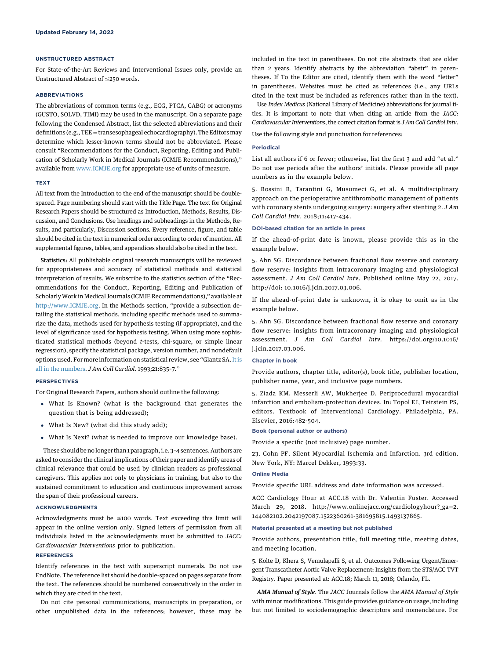#### UNSTRUCTURED ABSTRACT

For State-of-the-Art Reviews and Interventional Issues only, provide an Unstructured Abstract of  $\leq$ 250 words.

# ABBREVIATIONS

The abbreviations of common terms (e.g., ECG, PTCA, CABG) or acronyms (GUSTO, SOLVD, TIMI) may be used in the manuscript. On a separate page following the Condensed Abstract, list the selected abbreviations and their definitions (e.g., TEE = transesophageal echocardiography). The Editors may determine which lesser-known terms should not be abbreviated. Please consult "Recommendations for the Conduct, Reporting, Editing and Publication of Scholarly Work in Medical Journals (ICMJE Recommendations)," available from [www.ICMJE.org](http://www.icmje.org/recommendations/) for appropriate use of units of measure.

#### TEXT

All text from the Introduction to the end of the manuscript should be doublespaced. Page numbering should start with the Title Page. The text for Original Research Papers should be structured as Introduction, Methods, Results, Discussion, and Conclusions. Use headings and subheadings in the Methods, Results, and particularly, Discussion sections. Every reference, figure, and table should be cited in the text in numerical order according to order of mention. All supplemental figures, tables, and appendices should also be cited in the text.

Statistics: All publishable original research manuscripts will be reviewed for appropriateness and accuracy of statistical methods and statistical interpretation of results. We subscribe to the statistics section of the "Recommendations for the Conduct, Reporting, Editing and Publication of Scholarly Work in Medical Journals (ICMJE Recommendations)," available at <http://www.ICMJE.org>. In the Methods section, "provide a subsection detailing the statistical methods, including specific methods used to summarize the data, methods used for hypothesis testing (if appropriate), and the level of significance used for hypothesis testing. When using more sophisticated statistical methods (beyond t-tests, chi-square, or simple linear regression), specify the statistical package, version number, and nondefault options used. For more information on statistical review, see "Glantz SA. [It is](http://www.onlinejacc.org/content/21/3/835?_ga=2.253203657.1194182858.1523380756-381695815.1493137865) [all in the numbers](http://www.onlinejacc.org/content/21/3/835?_ga=2.253203657.1194182858.1523380756-381695815.1493137865). J Am Coll Cardiol. 1993;21:835–7."

# PERSPECTIVES

For Original Research Papers, authors should outline the following:

- What Is Known? (what is the background that generates the question that is being addressed);
- What Is New? (what did this study add);
- What Is Next? (what is needed to improve our knowledge base).

These should be no longer than 1 paragraph, i.e. 3–4 sentences. Authors are asked to consider the clinical implications of their paper and identify areas of clinical relevance that could be used by clinician readers as professional caregivers. This applies not only to physicians in training, but also to the sustained commitment to education and continuous improvement across the span of their professional careers.

# ACKNOWLEDGMENTS

Acknowledgments must be  $\leq$ 100 words. Text exceeding this limit will appear in the online version only. Signed letters of permission from all individuals listed in the acknowledgments must be submitted to JACC: Cardiovascular Interventions prior to publication.

## **REFERENCES**

Identify references in the text with superscript numerals. Do not use EndNote. The reference list should be double-spaced on pages separate from the text. The references should be numbered consecutively in the order in which they are cited in the text.

Do not cite personal communications, manuscripts in preparation, or other unpublished data in the references; however, these may be included in the text in parentheses. Do not cite abstracts that are older than 2 years. Identify abstracts by the abbreviation "abstr" in parentheses. If To the Editor are cited, identify them with the word "letter" in parentheses. Websites must be cited as references (i.e., any URLs cited in the text must be included as references rather than in the text).

Use Index Medicus (National Library of Medicine) abbreviations for journal titles. It is important to note that when citing an article from the JACC: Cardiovascular Interventions, the correct citation format is J Am Coll Cardiol Intv.

Use the following style and punctuation for references:

## Periodical

List all authors if 6 or fewer; otherwise, list the first 3 and add "et al." Do not use periods after the authors' initials. Please provide all page numbers as in the example below.

5. Rossini R, Tarantini G, Musumeci G, et al. A multidisciplinary approach on the perioperative antithrombotic management of patients with coronary stents undergoing surgery: surgery after stenting 2. J Am Coll Cardiol Intv. 2018;11:417-434.

## DOI-based citation for an article in press

If the ahead-of-print date is known, please provide this as in the example below.

5. Ahn SG. Discordance between fractional flow reserve and coronary flow reserve: insights from intracoronary imaging and physiological assessment. J Am Coll Cardiol Intv. Published online May 22, 2017. http://doi: 10.1016/j.jcin.2017.03.006.

If the ahead-of-print date is unknown, it is okay to omit as in the example below.

5. Ahn SG. Discordance between fractional flow reserve and coronary flow reserve: insights from intracoronary imaging and physiological assessment. J Am Coll Cardiol Intv. https://doi.org/10.1016/ j.jcin.2017.03.006.

## Chapter in book

Provide authors, chapter title, editor(s), book title, publisher location, publisher name, year, and inclusive page numbers.

5. Ziada KM, Messerli AW, Mukherjee D. Periprocedural myocardial infarction and embolism-protection devices. In: Topol EJ, Teirstein PS, editors. Textbook of Interventional Cardiology. Philadelphia, PA. Elsevier, 2016:482-504.

# Book (personal author or authors)

Provide a specific (not inclusive) page number.

23. Cohn PF. Silent Myocardial Ischemia and Infarction. 3rd edition. New York, NY: Marcel Dekker, 1993:33.

#### Online Media

Provide specific URL address and date information was accessed.

ACC Cardiology Hour at ACC.18 with Dr. Valentin Fuster. Accessed March 29, 2018. http://www.onlinejacc.org/cardiologyhour?\_ga=2. 144082102.2042197087.1522360261-381695815.1493137865.

#### Material presented at a meeting but not published

Provide authors, presentation title, full meeting title, meeting dates, and meeting location.

5. Kolte D, Khera S, Vemulapalli S, et al. Outcomes Following Urgent/Emergent Transcatheter Aortic Valve Replacement: Insights from the STS/ACC TVT Registry. Paper presented at: ACC.18; March 11, 2018; Orlando, FL.

AMA Manual of Style. The JACC Journals follow the AMA Manual of Style with minor modifications. This guide provides guidance on usage, including but not limited to sociodemographic descriptors and nomenclature. For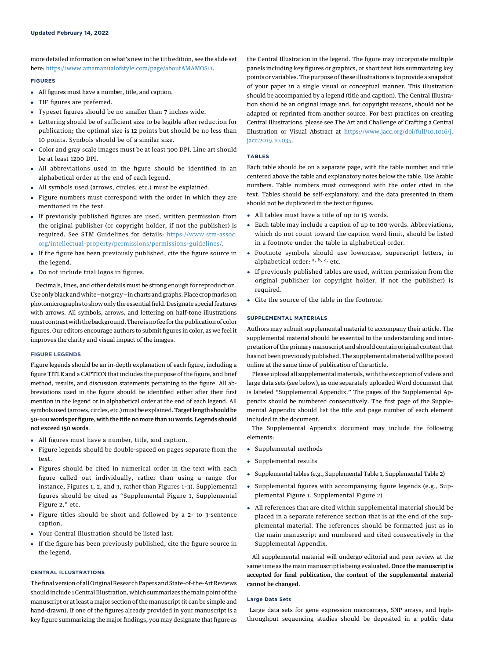more detailed information on what's new in the 11th edition, see the slide set here: [https://www.amamanualofstyle.com/page/aboutAMAMOS11.](https://www.amamanualofstyle.com/page/aboutAMAMOS11)

# FIGURES

- All figures must have a number, title, and caption.
- TIF figures are preferred.
- Typeset figures should be no smaller than 7 inches wide.
- Lettering should be of sufficient size to be legible after reduction for publication; the optimal size is 12 points but should be no less than 10 points. Symbols should be of a similar size.
- Color and gray scale images must be at least 300 DPI. Line art should be at least 1200 DPI.
- All abbreviations used in the figure should be identified in an alphabetical order at the end of each legend.
- All symbols used (arrows, circles, etc.) must be explained.
- Figure numbers must correspond with the order in which they are mentioned in the text.
- If previously published figures are used, written permission from the original publisher (or copyright holder, if not the publisher) is required. See STM Guidelines for details: [https://www.stm-assoc.](https://www.stm-assoc.org/intellectual-property/permissions/permissions-guidelines/) [org/intellectual-property/permissions/permissions-guidelines/.](https://www.stm-assoc.org/intellectual-property/permissions/permissions-guidelines/)
- If the figure has been previously published, cite the figure source in the legend.
- Do not include trial logos in figures.

Decimals, lines, and other details must be strong enough for reproduction. Use only black and white—not gray—in charts and graphs. Place cropmarks on photomicrographs to show only the essentialfield. Designate special features with arrows. All symbols, arrows, and lettering on half-tone illustrations must contrastwith the background. There is no fee for the publication of color figures. Our editors encourage authors to submit figures in color, as we feel it improves the clarity and visual impact of the images.

# FIGURE LEGENDS

Figure legends should be an in-depth explanation of each figure, including a figure TITLE and a CAPTION that includes the purpose of the figure, and brief method, results, and discussion statements pertaining to the figure. All abbreviations used in the figure should be identified either after their first mention in the legend or in alphabetical order at the end of each legend. All symbols used (arrows, circles, etc.) must be explained.Target length should be 50–100 words per figure, with the title no more than 10 words. Legends should not exceed 150 words.

- All figures must have a number, title, and caption.
- Figure legends should be double-spaced on pages separate from the text.
- Figures should be cited in numerical order in the text with each figure called out individually, rather than using a range (for instance, Figures 1, 2, and 3, rather than Figures 1–3). Supplemental figures should be cited as "Supplemental Figure 1, Supplemental Figure 2," etc.
- Figure titles should be short and followed by a 2- to 3-sentence caption.
- Your Central Illustration should be listed last.
- If the figure has been previously published, cite the figure source in the legend.

## CENTRAL ILLUSTRATIONS

Thefinal version of all Original Research Papers and State-of-the-Art Reviews should include 1 Central Illustration, which summarizes themain point of the manuscript or at least a major section of the manuscript (it can be simple and hand-drawn). If one of the figures already provided in your manuscript is a key figure summarizing the major findings, you may designate that figure as the Central Illustration in the legend. The figure may incorporate multiple panels including key figures or graphics, or short text lists summarizing key points or variables. The purpose of these illustrations is to provide a snapshot of your paper in a single visual or conceptual manner. This illustration should be accompanied by a legend (title and caption). The Central Illustration should be an original image and, for copyright reasons, should not be adapted or reprinted from another source. For best practices on creating Central Illustrations, please see The Art and Challenge of Crafting a Central Illustration or Visual Abstract at [https://www.jacc.org/doi/full/10.1016/j.](https://www.jacc.org/doi/full/10.1016/j.jacc.2019.10.035) [jacc.2019.10.035](https://www.jacc.org/doi/full/10.1016/j.jacc.2019.10.035).

# TABLES

Each table should be on a separate page, with the table number and title centered above the table and explanatory notes below the table. Use Arabic numbers. Table numbers must correspond with the order cited in the text. Tables should be self-explanatory, and the data presented in them should not be duplicated in the text or figures.

- All tables must have a title of up to 15 words.
- Each table may include a caption of up to 100 words. Abbreviations, which do not count toward the caption word limit, should be listed in a footnote under the table in alphabetical order.
- Footnote symbols should use lowercase, superscript letters, in alphabetical order:  $a, b, c,$  etc.
- If previously published tables are used, written permission from the original publisher (or copyright holder, if not the publisher) is required.
- Cite the source of the table in the footnote.

## SUPPLEMENTAL MATERIALS

Authors may submit supplemental material to accompany their article. The supplemental material should be essential to the understanding and interpretation of the primary manuscript and should contain original content that has not been previously published. The supplemental material will be posted online at the same time of publication of the article.

Please upload all supplemental materials, with the exception of videos and large data sets (see below), as one separately uploaded Word document that is labeled "Supplemental Appendix." The pages of the Supplemental Appendix should be numbered consecutively. The first page of the Supplemental Appendix should list the title and page number of each element included in the document.

The Supplemental Appendix document may include the following elements:

- Supplemental methods
- Supplemental results
- -Supplemental tables (e.g., Supplemental Table 1, Supplemental Table 2)
- Supplemental figures with accompanying figure legends (e.g., Supplemental Figure 1, Supplemental Figure 2)
- All references that are cited within supplemental material should be placed in a separate reference section that is at the end of the supplemental material. The references should be formatted just as in the main manuscript and numbered and cited consecutively in the Supplemental Appendix.

All supplemental material will undergo editorial and peer review at the same time as the main manuscript is being evaluated. Once the manuscript is accepted for final publication, the content of the supplemental material cannot be changed.

# Large Data Sets

Large data sets for gene expression microarrays, SNP arrays, and highthroughput sequencing studies should be deposited in a public data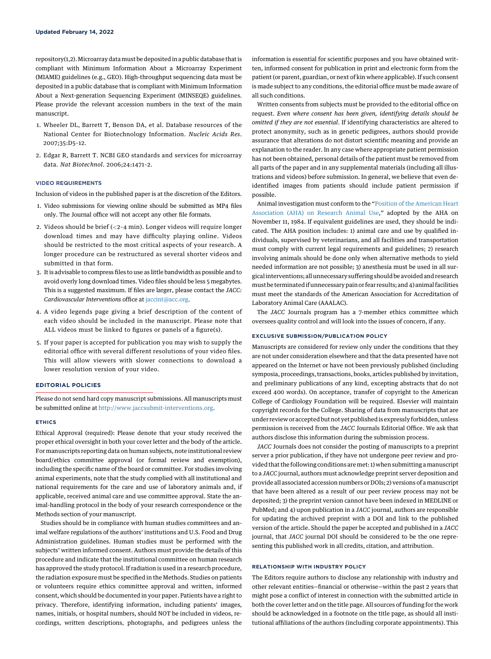repository(1,2).Microarray datamust be deposited in a public database that is compliant with Minimum Information About a Microarray Experiment (MIAME) guidelines (e.g., GEO). High-throughput sequencing data must be deposited in a public database that is compliant with Minimum Information About a Next-generation Sequencing Experiment (MINSEQE) guidelines. Please provide the relevant accession numbers in the text of the main manuscript.

- 1. Wheeler DL, Barrett T, Benson DA, et al. Database resources of the National Center for Biotechnology Information. Nucleic Acids Res. 2007;35:D5–12.
- 2. Edgar R, Barrett T. NCBI GEO standards and services for microarray data. Nat Biotechnol. 2006;24:1471–2.

# VIDEO REQUIREMENTS

Inclusion of videos in the published paper is at the discretion of the Editors.

- 1. Video submissions for viewing online should be submitted as MP4 files only. The Journal office will not accept any other file formats.
- 2. Videos should be brief (<2–4 min). Longer videos will require longer download times and may have difficulty playing online. Videos should be restricted to the most critical aspects of your research. A longer procedure can be restructured as several shorter videos and submitted in that form.
- 3. It is advisable to compress files to use as little bandwidth as possible and to avoid overly long download times. Video files should be less 5 megabytes. This is a suggested maximum. If files are larger, please contact the JACC: Cardiovascular Interventions office at [jaccint@acc.org](mailto:jaccint@acc.org).
- 4. A video legends page giving a brief description of the content of each video should be included in the manuscript. Please note that ALL videos must be linked to figures or panels of a figure(s).
- 5. If your paper is accepted for publication you may wish to supply the editorial office with several different resolutions of your video files. This will allow viewers with slower connections to download a lower resolution version of your video.

# EDITORIAL POLICIES

Please do not send hard copy manuscript submissions. All manuscripts must be submitted online at [http://www.jaccsubmit-interventions.org](http://www.jaccsubmit-interventions.org/).

# ETHICS

Ethical Approval (required): Please denote that your study received the proper ethical oversight in both your cover letter and the body of the article. For manuscripts reporting data on human subjects, note institutional review board/ethics committee approval (or formal review and exemption), including the specific name of the board or committee. For studies involving animal experiments, note that the study complied with all institutional and national requirements for the care and use of laboratory animals and, if applicable, received animal care and use committee approval. State the animal-handling protocol in the body of your research correspondence or the Methods section of your manuscript.

Studies should be in compliance with human studies committees and animal welfare regulations of the authors' institutions and U.S. Food and Drug Administration guidelines. Human studies must be performed with the subjects' written informed consent. Authors must provide the details of this procedure and indicate that the institutional committee on human research has approved the study protocol. If radiation is used in a research procedure, the radiation exposure must be specified in the Methods. Studies on patients or volunteers require ethics committee approval and written, informed consent, which should be documented in your paper. Patients have a right to privacy. Therefore, identifying information, including patients' images, names, initials, or hospital numbers, should NOT be included in videos, recordings, written descriptions, photographs, and pedigrees unless the information is essential for scientific purposes and you have obtained written, informed consent for publication in print and electronic form from the patient (or parent, guardian, or next of kin where applicable). If such consent is made subject to any conditions, the editorial office must be made aware of all such conditions.

Written consents from subjects must be provided to the editorial office on request. Even where consent has been given, identifying details should be omitted if they are not essential. If identifying characteristics are altered to protect anonymity, such as in genetic pedigrees, authors should provide assurance that alterations do not distort scientific meaning and provide an explanation to the reader. In any case where appropriate patient permission has not been obtained, personal details of the patient must be removed from all parts of the paper and in any supplemental materials (including all illustrations and videos) before submission. In general, we believe that even deidentified images from patients should include patient permission if possible.

Animal investigation must conform to the "[Position of the American Heart](http://hyper.ahajournals.org/content/7/4/655) [Association \(AHA\) on Research Animal Use,](http://hyper.ahajournals.org/content/7/4/655)" adopted by the AHA on November 11, 1984. If equivalent guidelines are used, they should be indicated. The AHA position includes: 1) animal care and use by qualified individuals, supervised by veterinarians, and all facilities and transportation must comply with current legal requirements and guidelines; 2) research involving animals should be done only when alternative methods to yield needed information are not possible; 3) anesthesia must be used in all surgical interventions; all unnecessary suffering should be avoided and research must be terminated if unnecessary pain or fear results; and 4) animal facilities must meet the standards of the American Association for Accreditation of Laboratory Animal Care (AAALAC).

The JACC Journals program has a 7-member ethics committee which oversees quality control and will look into the issues of concern, if any.

#### EXCLUSIVE SUBMISSION/PUBLICATION POLICY

Manuscripts are considered for review only under the conditions that they are not under consideration elsewhere and that the data presented have not appeared on the Internet or have not been previously published (including symposia, proceedings, transactions, books, articles published by invitation, and preliminary publications of any kind, excepting abstracts that do not exceed 400 words). On acceptance, transfer of copyright to the American College of Cardiology Foundation will be required. Elsevier will maintain copyright records for the College. Sharing of data from manuscripts that are under review or accepted but not yet published is expressly forbidden, unless permission is received from the JACC Journals Editorial Office. We ask that authors disclose this information during the submission process.

JACC Journals does not consider the posting of manuscripts to a preprint server a prior publication, if they have not undergone peer review and provided that the following conditions aremet: 1) when submitting a manuscript to a JACC journal, authors must acknowledge preprint server deposition and provide all associated accession numbers or DOIs; 2) versions of a manuscript that have been altered as a result of our peer review process may not be deposited; 3) the preprint version cannot have been indexed in MEDLINE or PubMed; and 4) upon publication in a JACC journal, authors are responsible for updating the archived preprint with a DOI and link to the published version of the article. Should the paper be accepted and published in a JACC journal, that JACC journal DOI should be considered to be the one representing this published work in all credits, citation, and attribution.

## RELATIONSHIP WITH INDUSTRY POLICY

The Editors require authors to disclose any relationship with industry and other relevant entities—financial or otherwise—within the past 2 years that might pose a conflict of interest in connection with the submitted article in both the cover letter and on the title page. All sources of funding for the work should be acknowledged in a footnote on the title page, as should all institutional affiliations of the authors (including corporate appointments). This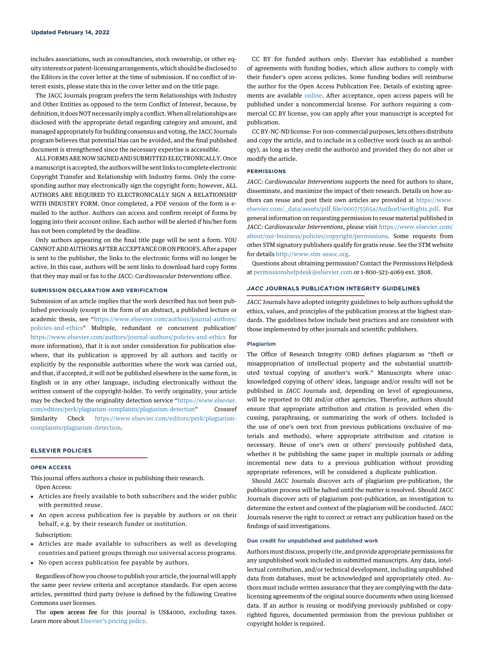includes associations, such as consultancies, stock ownership, or other equity interests or patent-licensing arrangements, which should be disclosed to the Editors in the cover letter at the time of submission. If no conflict of interest exists, please state this in the cover letter and on the title page.

The JACC Journals program prefers the term Relationships with Industry and Other Entities as opposed to the term Conflict of Interest, because, by definition, it does NOT necessarily imply a conflict.When all relationships are disclosed with the appropriate detail regarding category and amount, and managed appropriately for building consensus and voting, the JACC Journals program believes that potential bias can be avoided, and the final published document is strengthened since the necessary expertise is accessible.

ALL FORMS ARE NOW SIGNED AND SUBMITTED ELECTRONICALLY. Once a manuscript is accepted, the authors will be sent links to complete electronic Copyright Transfer and Relationship with Industry forms. Only the corresponding author may electronically sign the copyright form; however, ALL AUTHORS ARE REQUIRED TO ELECTRONICALLY SIGN A RELATIONSHIP WITH INDUSTRY FORM. Once completed, a PDF version of the form is emailed to the author. Authors can access and confirm receipt of forms by logging into their account online. Each author will be alerted if his/her form has not been completed by the deadline.

Only authors appearing on the final title page will be sent a form. YOU CANNOT ADD AUTHORS AFTER ACCEPTANCE OR ON PROOFS. After a paper is sent to the publisher, the links to the electronic forms will no longer be active. In this case, authors will be sent links to download hard copy forms that they may mail or fax to the JACC: Cardiovascular Interventions office.

#### SUBMISSION DECLARATION AND VERIFICATION

Submission of an article implies that the work described has not been published previously (except in the form of an abstract, a published lecture or academic thesis, see "[https://www.elsevier.com/authors/journal-authors/](https://www.elsevier.com/authors/journal-authors/policies-and-ethics) [policies-and-ethics](https://www.elsevier.com/authors/journal-authors/policies-and-ethics)" Multiple, redundant or concurrent publication' <https://www.elsevier.com/authors/journal-authors/policies-and-ethics> for more information), that it is not under consideration for publication elsewhere, that its publication is approved by all authors and tacitly or explicitly by the responsible authorities where the work was carried out, and that, if accepted, it will not be published elsewhere in the same form, in English or in any other language, including electronically without the written consent of the copyright-holder. To verify originality, your article may be checked by the originality detection service "[https://www.elsevier.](https://www.elsevier.com/editors/perk/plagiarism-complaints/plagiarism-detection) [com/editors/perk/plagiarism-complaints/plagiarism-detection](https://www.elsevier.com/editors/perk/plagiarism-complaints/plagiarism-detection)" Crossref Similarity Check [https://www.elsevier.com/editors/perk/plagiarism](https://www.elsevier.com/editors/perk/plagiarism-complaints/plagiarism-detection)[complaints/plagiarism-detection.](https://www.elsevier.com/editors/perk/plagiarism-complaints/plagiarism-detection)

# ELSEVIER POLICIES

## OPEN ACCESS

This journal offers authors a choice in publishing their research. Open Access:

- Articles are freely available to both subscribers and the wider public with permitted reuse.
- An open access publication fee is payable by authors or on their behalf, e.g. by their research funder or institution.
- Subscription:
- Articles are made available to subscribers as well as developing countries and patient groups through our universal access programs.
- No open access publication fee payable by authors.

Regardless of how you choose to publish your article, the journal will apply the same peer review criteria and acceptance standards. For open access articles, permitted third party (re)use is defined by the following Creative Commons user licenses.

The open access fee for this journal is US\$4000, excluding taxes. Learn more about Elsevier'[s pricing policy](https://www.elsevier.com/about/open-science/open-access).

CC BY for funded authors only: Elsevier has established a number of agreements with funding bodies, which allow authors to comply with their funder's open access policies. Some funding bodies will reimburse the author for the Open Access Publication Fee. Details of existing agreements are available [online](https://www.elsevier.com/about/open-science/open-access/agreements). After acceptance, open access papers will be published under a noncommercial license. For authors requiring a commercial CC BY license, you can apply after your manuscript is accepted for publication.

CC BY-NC-ND license: For non-commercial purposes, lets others distribute and copy the article, and to include in a collective work (such as an anthology), as long as they credit the author(s) and provided they do not alter or modify the article.

# PERMISSIONS

JACC: Cardiovascular Interventions supports the need for authors to share, disseminate, and maximize the impact of their research. Details on how authors can reuse and post their own articles are provided at [https://www.](https://www.elsevier.com/__data/assets/pdf_file/0007/55654/AuthorUserRights.pdf) elsevier.com/\_\_data/assets/pdf\_fi[le/0007/55654/AuthorUserRights.pdf.](https://www.elsevier.com/__data/assets/pdf_file/0007/55654/AuthorUserRights.pdf) For general information on requesting permission to reuse material published in JACC: Cardiovascular Interventions, please visit [https://www.elsevier.com/](https://www.elsevier.com/about/our-business/policies/copyright/permissions) [about/our-business/policies/copyright/permissions](https://www.elsevier.com/about/our-business/policies/copyright/permissions). Some requests from other STM signatory publishers qualify for gratis reuse. See the STM website for details [http://www.stm-assoc.org.](http://www.stm-assoc.org/)

Questions about obtaining permission? Contact the Permissions Helpdesk at [permissionshelpdesk@elsevier.com](https://luky-my.sharepoint.com/personal/jpho222_uky_edu/Documents/AUTHOR%20INSTRUCTIONS/permissionshelpdesk@elsevier.com) or 1-800-523-4069 ext. 3808.

# JACC JOURNALS PUBLICATION INTEGRITY GUIDELINES

JACC Journals have adopted integrity guidelines to help authors uphold the ethics, values, and principles of the publication process at the highest standards. The guidelines below include best practices and are consistent with those implemented by other journals and scientific publishers.

# Plagiarism

The Office of Research Integrity (ORI) defines plagiarism as "theft or misappropriation of intellectual property and the substantial unattributed textual copying of another's work." Manuscripts where unacknowledged copying of others' ideas, language and/or results will not be published in JACC Journals and, depending on level of egregiousness, will be reported to ORI and/or other agencies. Therefore, authors should ensure that appropriate attribution and citation is provided when discussing, paraphrasing, or summarizing the work of others. Included is the use of one's own text from previous publications (exclusive of materials and methods), where appropriate attribution and citation is necessary. Reuse of one's own or others' previously published data, whether it be publishing the same paper in multiple journals or adding incremental new data to a previous publication without providing appropriate references, will be considered a duplicate publication.

Should JACC Journals discover acts of plagiarism pre-publication, the publication process will be halted until the matter is resolved. Should JACC Journals discover acts of plagiarism post-publication, an investigation to determine the extent and context of the plagiarism will be conducted. JACC Journals reserve the right to correct or retract any publication based on the findings of said investigations.

# Due credit for unpublished and published work

Authors must discuss, properly cite, and provide appropriate permissions for any unpublished work included in submitted manuscripts. Any data, intellectual contribution, and/or technical development, including unpublished data from databases, must be acknowledged and appropriately cited. Authors must include written assurance that they are complying with the datalicensing agreements of the original source documents when using licensed data. If an author is reusing or modifying previously published or copyrighted figures, documented permission from the previous publisher or copyright holder is required.